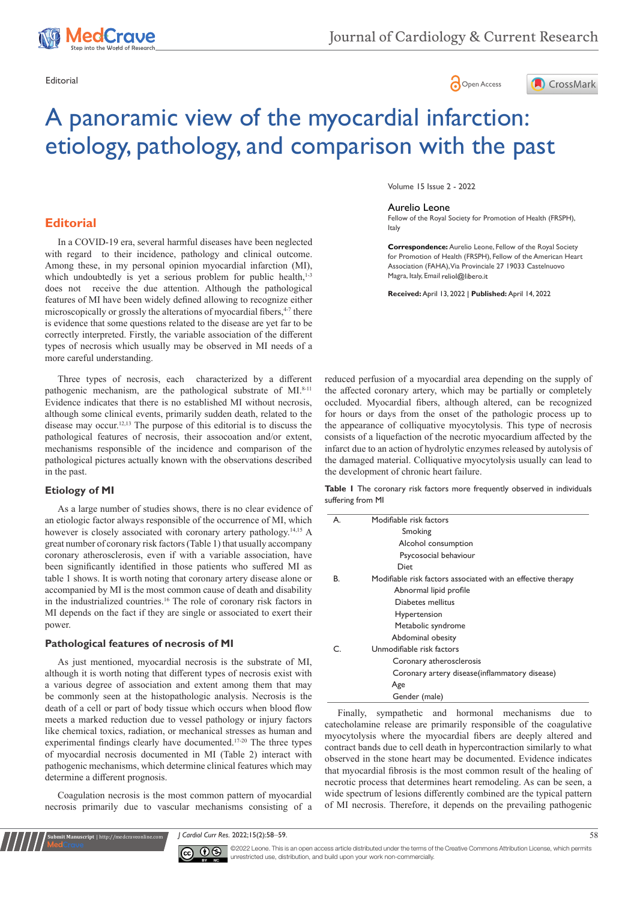





# A panoramic view of the myocardial infarction: etiology, pathology, and comparison with the past

# **Editorial**

In a COVID-19 era, several harmful diseases have been neglected with regard to their incidence, pathology and clinical outcome. Among these, in my personal opinion myocardial infarction (MI), which undoubtedly is yet a serious problem for public health,<sup>1-3</sup> does not receive the due attention. Although the pathological features of MI have been widely defined allowing to recognize either microscopically or grossly the alterations of myocardial fibers,<sup>4-7</sup> there is evidence that some questions related to the disease are yet far to be correctly interpreted. Firstly, the variable association of the different types of necrosis which usually may be observed in MI needs of a more careful understanding.

Three types of necrosis, each characterized by a different pathogenic mechanism, are the pathological substrate of MI.<sup>8-11</sup> Evidence indicates that there is no established MI without necrosis, although some clinical events, primarily sudden death, related to the disease may occur.12,13 The purpose of this editorial is to discuss the pathological features of necrosis, their assocoation and/or extent, mechanisms responsible of the incidence and comparison of the pathological pictures actually known with the observations described in the past.

## **Etiology of MI**

As a large number of studies shows, there is no clear evidence of an etiologic factor always responsible of the occurrence of MI, which however is closely associated with coronary artery pathology.<sup>14,15</sup> A great number of coronary risk factors (Table 1) that usually accompany coronary atherosclerosis, even if with a variable association, have been significantly identified in those patients who suffered MI as table 1 shows. It is worth noting that coronary artery disease alone or accompanied by MI is the most common cause of death and disability in the industrialized countries.16 The role of coronary risk factors in MI depends on the fact if they are single or associated to exert their power.

## **Pathological features of necrosis of MI**

**Submit Manuscript** | http://medcraveonline.com

As just mentioned, myocardial necrosis is the substrate of MI, although it is worth noting that different types of necrosis exist with a various degree of association and extent among them that may be commonly seen at the histopathologic analysis. Necrosis is the death of a cell or part of body tissue which occurs when blood flow meets a marked reduction due to vessel pathology or injury factors like chemical toxics, radiation, or mechanical stresses as human and experimental findings clearly have documented.17-20 The three types of myocardial necrosis documented in MI (Table 2) interact with pathogenic mechanisms, which determine clinical features which may determine a different prognosis.

Coagulation necrosis is the most common pattern of myocardial necrosis primarily due to vascular mechanisms consisting of a Volume 15 Issue 2 - 2022

#### Aurelio Leone

Fellow of the Royal Society for Promotion of Health (FRSPH), Italy

**Correspondence:** Aurelio Leone, Fellow of the Royal Society for Promotion of Health (FRSPH), Fellow of the American Heart Association (FAHA), Via Provinciale 27 19033 Castelnuovo Magra, Italy, Email reliol@libero.it

**Received:** April 13, 2022 | **Published:** April 14, 2022

reduced perfusion of a myocardial area depending on the supply of the affected coronary artery, which may be partially or completely occluded. Myocardial fibers, although altered, can be recognized for hours or days from the onset of the pathologic process up to the appearance of colliquative myocytolysis. This type of necrosis consists of a liquefaction of the necrotic myocardium affected by the infarct due to an action of hydrolytic enzymes released by autolysis of the damaged material. Colliquative myocytolysis usually can lead to the development of chronic heart failure.

**Table 1** The coronary risk factors more frequently observed in individuals suffering from MI

| А. | Modifiable risk factors                                      |  |
|----|--------------------------------------------------------------|--|
|    | Smoking                                                      |  |
|    | Alcohol consumption                                          |  |
|    | Psycosocial behaviour                                        |  |
|    | <b>Diet</b>                                                  |  |
| В. | Modifiable risk factors associated with an effective therapy |  |
|    | Abnormal lipid profile                                       |  |
|    | Diabetes mellitus                                            |  |
|    | Hypertension                                                 |  |
|    | Metabolic syndrome                                           |  |
|    | Abdominal obesity                                            |  |
| ⊂  | Unmodifiable risk factors                                    |  |
|    | Coronary atherosclerosis                                     |  |
|    | Coronary artery disease (inflammatory disease)               |  |
|    | Age                                                          |  |
|    | Gender (male)                                                |  |

Finally, sympathetic and hormonal mechanisms due to catecholamine release are primarily responsible of the coagulative myocytolysis where the myocardial fibers are deeply altered and contract bands due to cell death in hypercontraction similarly to what observed in the stone heart may be documented. Evidence indicates that myocardial fibrosis is the most common result of the healing of necrotic process that determines heart remodeling. As can be seen, a wide spectrum of lesions differently combined are the typical pattern of MI necrosis. Therefore, it depends on the prevailing pathogenic

*J Cardiol Curr Res.* 2022;15(2):58‒59. 58



©2022 Leone. This is an open access article distributed under the terms of the Creative Commons Attribution License, which permits unrestricted use, distribution, and build upon your work non-commercially.